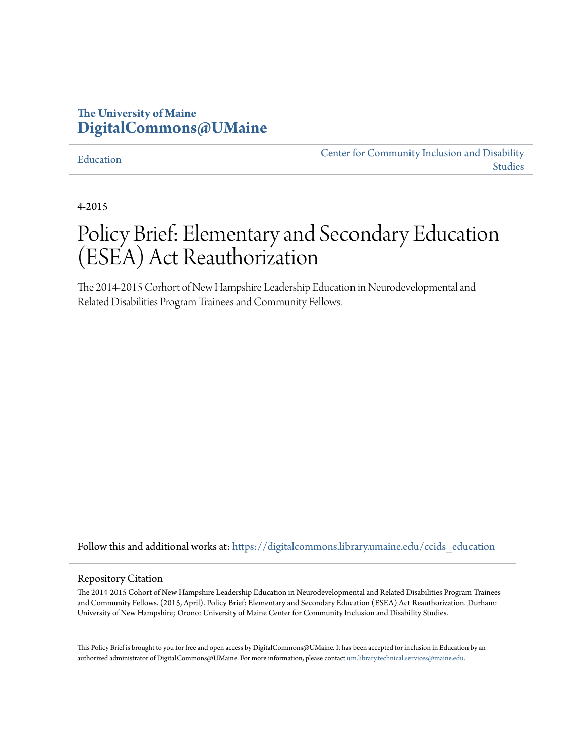# **The University of Maine [DigitalCommons@UMaine](https://digitalcommons.library.umaine.edu?utm_source=digitalcommons.library.umaine.edu%2Fccids_education%2F4&utm_medium=PDF&utm_campaign=PDFCoverPages)**

#### [Education](https://digitalcommons.library.umaine.edu/ccids_education?utm_source=digitalcommons.library.umaine.edu%2Fccids_education%2F4&utm_medium=PDF&utm_campaign=PDFCoverPages)

[Center for Community Inclusion and Disability](https://digitalcommons.library.umaine.edu/ccids?utm_source=digitalcommons.library.umaine.edu%2Fccids_education%2F4&utm_medium=PDF&utm_campaign=PDFCoverPages) [Studies](https://digitalcommons.library.umaine.edu/ccids?utm_source=digitalcommons.library.umaine.edu%2Fccids_education%2F4&utm_medium=PDF&utm_campaign=PDFCoverPages)

4-2015

# Policy Brief: Elementary and Secondary Education (ESEA) Act Reauthorization

The 2014-2015 Corhort of New Hampshire Leadership Education in Neurodevelopmental and Related Disabilities Program Trainees and Community Fellows.

Follow this and additional works at: https://digitalcommons.library.umaine.edu/ccids education

#### Repository Citation

The 2014-2015 Cohort of New Hampshire Leadership Education in Neurodevelopmental and Related Disabilities Program Trainees and Community Fellows. (2015, April). Policy Brief: Elementary and Secondary Education (ESEA) Act Reauthorization. Durham: University of New Hampshire; Orono: University of Maine Center for Community Inclusion and Disability Studies.

This Policy Brief is brought to you for free and open access by DigitalCommons@UMaine. It has been accepted for inclusion in Education by an authorized administrator of DigitalCommons@UMaine. For more information, please contact [um.library.technical.services@maine.edu.](mailto:um.library.technical.services@maine.edu)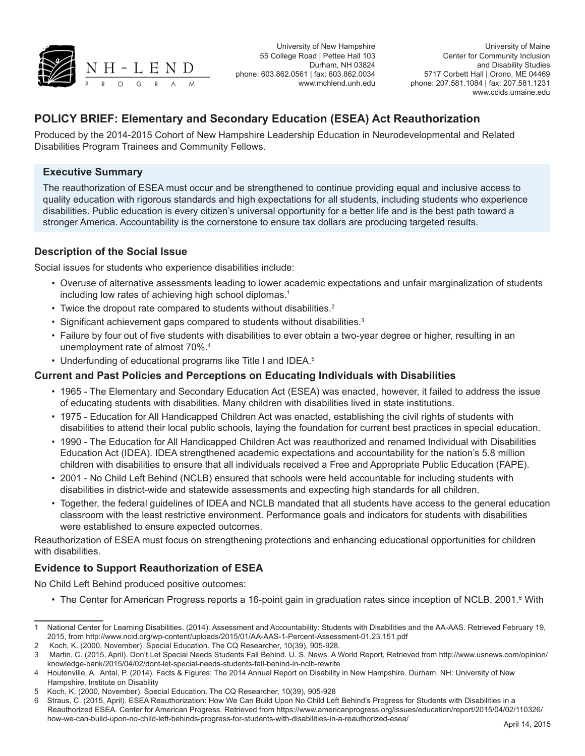

University of New Hampshire 55 College Road | Pettee Hall 103 Durham, NH 03824 phone: 603.862.0561 | fax: 603.862.0034 www.mchlend.unh.edu

University of Maine Center for Community Inclusion and Disability Studies 5717 Corbett Hall | Orono, ME 04469 phone: 207.581.1084 | fax: 207.581.1231 www.ccids.umaine.edu

## **POLICY BRIEF: Elementary and Secondary Education (ESEA) Act Reauthorization**

Produced by the 2014-2015 Cohort of New Hampshire Leadership Education in Neurodevelopmental and Related Disabilities Program Trainees and Community Fellows.

#### **Executive Summary**

The reauthorization of ESEA must occur and be strengthened to continue providing equal and inclusive access to quality education with rigorous standards and high expectations for all students, including students who experience disabilities. Public education is every citizen's universal opportunity for a better life and is the best path toward a stronger America. Accountability is the cornerstone to ensure tax dollars are producing targeted results.

### **Description of the Social Issue**

Social issues for students who experience disabilities include:

- Overuse of alternative assessments leading to lower academic expectations and unfair marginalization of students including low rates of achieving high school diplomas.<sup>1</sup>
- Twice the dropout rate compared to students without disabilities.<sup>2</sup>
- Significant achievement gaps compared to students without disabilities.<sup>3</sup>
- Failure by four out of five students with disabilities to ever obtain a two-year degree or higher, resulting in an unemployment rate of almost 70%.4
- Underfunding of educational programs like Title I and IDEA.<sup>5</sup>

#### **Current and Past Policies and Perceptions on Educating Individuals with Disabilities**

- 1965 The Elementary and Secondary Education Act (ESEA) was enacted, however, it failed to address the issue of educating students with disabilities. Many children with disabilities lived in state institutions.
- 1975 Education for All Handicapped Children Act was enacted, establishing the civil rights of students with disabilities to attend their local public schools, laying the foundation for current best practices in special education.
- 1990 The Education for All Handicapped Children Act was reauthorized and renamed Individual with Disabilities Education Act (IDEA). IDEA strengthened academic expectations and accountability for the nation's 5.8 million children with disabilities to ensure that all individuals received a Free and Appropriate Public Education (FAPE).
- 2001 No Child Left Behind (NCLB) ensured that schools were held accountable for including students with disabilities in district-wide and statewide assessments and expecting high standards for all children.
- Together, the federal guidelines of IDEA and NCLB mandated that all students have access to the general education classroom with the least restrictive environment. Performance goals and indicators for students with disabilities were established to ensure expected outcomes.

Reauthorization of ESEA must focus on strengthening protections and enhancing educational opportunities for children with disabilities.

#### **Evidence to Support Reauthorization of ESEA**

No Child Left Behind produced positive outcomes:

• The Center for American Progress reports a 16-point gain in graduation rates since inception of NCLB, 2001.<sup>6</sup> With

<sup>1</sup> National Center for Learning Disabilities. (2014). Assessment and Accountability: Students with Disabilities and the AA-AAS. Retrieved February 19, 2015, from http://www.ncid.org/wp-content/uploads/2015/01/AA-AAS-1-Percent-Assessment-01.23.151.pdf

<sup>2</sup> Koch, K. (2000, November). Special Education. The CQ Researcher, 10(39), 905-928.

<sup>3</sup> Martin, C. (2015, April). Don't Let Special Needs Students Fall Behind. U. S. News. A World Report, Retrieved from http://www.usnews.com/opinion/ knowledge-bank/2015/04/02/dont-let-special-needs-students-fall-behind-in-nclb-rewrite

<sup>4</sup> Houtenville, A. Antal, P. (2014). Facts & Figures: The 2014 Annual Report on Disability in New Hampshire. Durham. NH: University of New Hampshire, Institute on Disability

<sup>5</sup> Koch, K. (2000, November). Special Education. The CQ Researcher, 10(39), 905-928

<sup>6</sup> Straus, C. (2015, April). ESEA Reauthorization: How We Can Build Upon No Child Left Behind's Progress for Students with Disabilities in a Reauthorized ESEA. Center for American Progress. Retrieved from https://www.americanprogress.org/issues/education/report/2015/04/02/110326/ how-we-can-build-upon-no-child-left-behinds-progress-for-students-with-disabilities-in-a-reauthorized-esea/